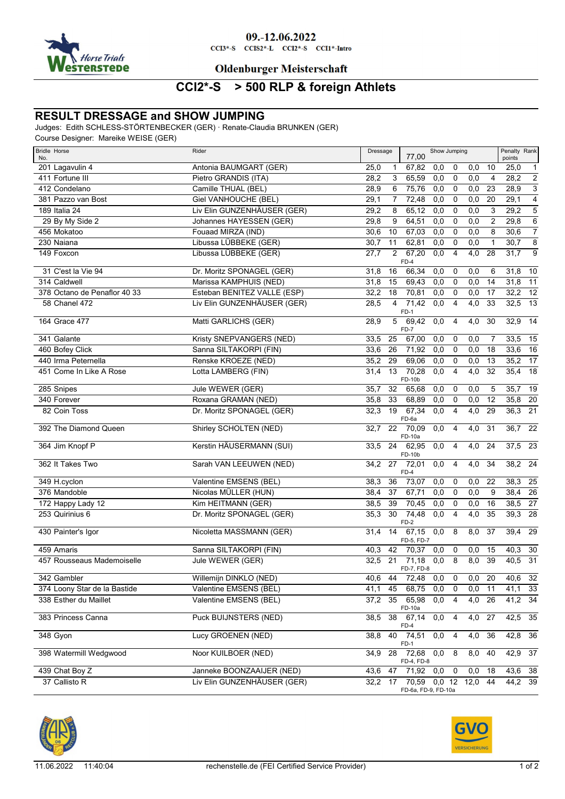

### 09.-12.06.2022

 $CCI3*-S$   $CCI52*-L$   $CCI2*-S$   $CCI1*-Intro$ 

### **Oldenburger Meisterschaft**

# **CCI2\*-S > 500 RLP & foreign Athlets**

### **RESULT DRESSAGE and SHOW JUMPING**

Judges: Edith SCHLESS-STÖRTENBECKER (GER) · Renate-Claudia BRUNKEN (GER)

Course Designer: Mareike WEISE (GER)

| <b>Bridle Horse</b><br>No.   | Rider                       | Dressage          |                | 77,00                               | Show Jumping     |                |                  |                | Penalty Rank<br>points |                 |
|------------------------------|-----------------------------|-------------------|----------------|-------------------------------------|------------------|----------------|------------------|----------------|------------------------|-----------------|
| 201 Lagavulin 4              | Antonia BAUMGART (GER)      | 25,0              | 1              | 67,82                               | 0,0              | 0              | 0,0              | 10             | 25,0                   | $\mathbf{1}$    |
| 411 Fortune III              | Pietro GRANDIS (ITA)        | 28,2              | 3              | 65,59                               | 0,0              | $\mathbf 0$    | 0,0              | $\overline{4}$ | 28,2                   | $\overline{2}$  |
| 412 Condelano                | Camille THUAL (BEL)         | 28,9              | 6              | 75,76                               | 0,0              | 0              | 0, 0             | 23             | 28,9                   | $\overline{3}$  |
| 381 Pazzo van Bost           | <b>Giel VANHOUCHE (BEL)</b> | 29,1              | 7              | 72,48                               | 0,0              | $\mathbf 0$    | 0,0              | 20             | 29,1                   | $\overline{4}$  |
| 189 Italia 24                | Liv Elin GUNZENHÄUSER (GER) | 29,2              | 8              | 65,12                               | 0,0              | $\mathbf 0$    | 0,0              | 3              | 29,2                   | 5               |
| 29 By My Side 2              | Johannes HAYESSEN (GER)     | 29,8              | 9              | 64,51                               | 0,0              | $\mathbf 0$    | 0,0              | $\overline{c}$ | 29,8                   | $\overline{6}$  |
| 456 Mokatoo                  | Fouaad MIRZA (IND)          | 30,6              | 10             | 67,03                               | 0,0              | $\mathbf 0$    | 0,0              | 8              | 30,6                   | $\overline{7}$  |
| 230 Naiana                   | Libussa LÜBBEKE (GER)       | 30,7              | 11             | 62,81                               | 0,0              | $\mathbf 0$    | 0,0              | $\mathbf{1}$   | 30,7                   | $\overline{8}$  |
| 149 Foxcon                   | Libussa LÜBBEKE (GER)       | $\overline{27,7}$ | $\overline{2}$ | 67,20<br>FD-4                       | 0,0              | $\overline{4}$ | 4,0              | 28             | 31,7                   | $\overline{9}$  |
| 31 C'est la Vie 94           | Dr. Moritz SPONAGEL (GER)   | 31,8              | 16             | 66,34                               | 0,0              | $\mathbf 0$    | 0,0              | 6              | 31,8                   | 10              |
| 314 Caldwell                 | Marissa KAMPHUIS (NED)      | 31,8              | 15             | 69,43                               | 0,0              | $\mathbf 0$    | 0,0              | 14             | 31,8                   | 11              |
| 378 Octano de Penaflor 40 33 | Esteban BENITEZ VALLE (ESP) | 32,2              | 18             | 70,81                               | 0,0              | 0              | 0,0              | 17             | 32,2                   | $\overline{12}$ |
| 58 Chanel 472                | Liv Elin GUNZENHÄUSER (GER) | 28,5              | 4              | 71,42<br>$FD-1$                     | 0,0              | $\overline{4}$ | 4,0              | 33             | 32,5                   | $\overline{13}$ |
| 164 Grace 477                | Matti GARLICHS (GER)        | 28,9              | 5              | 69,42<br>FD-7                       | 0,0              | $\overline{4}$ | 4,0              | 30             | 32,9                   | 14              |
| 341 Galante                  | Kristy SNEPVANGERS (NED)    | 33,5              | 25             | 67,00                               | 0,0              | 0              | 0,0              | 7              | 33,5                   | 15              |
| 460 Bofey Click              | Sanna SILTAKORPI (FIN)      | 33,6              | 26             | 71,92                               | 0,0              | 0              | 0,0              | 18             | 33,6                   | $\overline{16}$ |
| 440 Irma Peternella          | Renske KROEZE (NED)         | 35,2              | 29             | 69,06                               | 0,0              | $\mathbf 0$    | 0,0              | 13             | 35,2                   | $\overline{17}$ |
| 451 Come In Like A Rose      | Lotta LAMBERG (FIN)         | 31,4              | 13             | 70,28<br>FD-10b                     | 0,0              | $\overline{4}$ | 4,0              | 32             | 35,4                   | 18              |
| 285 Snipes                   | Jule WEWER (GER)            | 35,7              | 32             | 65,68                               | 0,0              | 0              | 0,0              | 5              | 35,7                   | 19              |
| 340 Forever                  | Roxana GRAMAN (NED)         | 35,8              | 33             | 68,89                               | 0,0              | $\mathbf 0$    | 0,0              | 12             | $35,8$ 20              |                 |
| 82 Coin Toss                 | Dr. Moritz SPONAGEL (GER)   | 32,3              | 19             | 67,34<br>FD-6a                      | 0,0              | $\overline{4}$ | $\overline{4,0}$ | 29             | 36,3                   | $\overline{21}$ |
| 392 The Diamond Queen        | Shirley SCHOLTEN (NED)      | 32,7              | 22             | 70,09<br>FD-10a                     | 0,0              | $\overline{4}$ | 4,0              | 31             | 36,7                   | 22              |
| 364 Jim Knopf P              | Kerstin HÄUSERMANN (SUI)    | 33,5              | 24             | 62,95<br>FD-10b                     | 0,0              | $\overline{4}$ | 4,0              | 24             | 37,5                   | 23              |
| 362 It Takes Two             | Sarah VAN LEEUWEN (NED)     | 34,2              | 27             | $\overline{72,01}$<br>$FD-4$        | 0,0              | $\overline{4}$ | 4,0              | 34             | $38,2$ 24              |                 |
| 349 H.cyclon                 | Valentine EMSENS (BEL)      | 38,3              | 36             | 73,07                               | 0,0              | 0              | 0,0              | 22             | 38,3                   | $\overline{25}$ |
| 376 Mandoble                 | Nicolas MÜLLER (HUN)        | 38,4              | 37             | 67,71                               | 0,0              | $\mathbf 0$    | 0,0              | 9              | 38,4                   | $\overline{26}$ |
| 172 Happy Lady 12            | Kim HEITMANN (GER)          | 38,5              | 39             | 70,45                               | 0,0              | 0              | 0,0              | 16             | 38,5                   | $\overline{27}$ |
| 253 Quirinius 6              | Dr. Moritz SPONAGEL (GER)   | 35,3              | 30             | 74,48<br>$FD-2$                     | $\overline{0,0}$ | $\overline{4}$ | 4,0              | 35             | 39,3                   | 28              |
| 430 Painter's Igor           | Nicoletta MASSMANN (GER)    | 31,4              | 14             | 67,15<br>FD-5, FD-7                 | 0,0              | 8              | 8,0              | 37             | 39,4                   | 29              |
| 459 Amaris                   | Sanna SILTAKORPI (FIN)      | 40,3              | 42             | 70,37                               | 0,0              | 0              | 0,0              | 15             | 40,3                   | 30              |
| 457 Rousseaus Mademoiselle   | Jule WEWER (GER)            | 32,5              | 21             | 71,18<br>FD-7, FD-8                 | 0,0              | 8              | 8,0              | 39             | 40,5                   | 31              |
| 342 Gambler                  | Willemijn DINKLO (NED)      | 40,6              | 44             | 72,48                               | 0,0              | 0              | 0,0              | 20             | 40,6                   | 32              |
| 374 Loony Star de la Bastide | Valentine EMSENS (BEL)      | 41,1              | 45             | 68,75                               | 0,0              | 0              | 0,0              | 11             | 41,1                   | 33              |
| 338 Esther du Maillet        | Valentine EMSENS (BEL)      | 37,2              | 35             | 65,98<br>FD-10a                     | 0,0              | 4              | $\overline{4,0}$ | 26             | 41,2                   | $\overline{34}$ |
| 383 Princess Canna           | Puck BUIJNSTERS (NED)       | 38,5              | 38             | 67,14<br>FD-4                       | 0,0              | 4              | 4,0              | 27             | 42,5                   | 35              |
| 348 Gyon                     | Lucy GROENEN (NED)          | 38,8              | 40             | 74,51<br>$FD-1$                     | 0,0              | 4              | 4,0              | 36             | $42,8$ 36              |                 |
| 398 Watermill Wedgwood       | Noor KUILBOER (NED)         | 34,9              | 28             | 72,68<br>FD-4, FD-8                 | 0,0              | 8              | 8,0              | 40             | $42,9$ 37              |                 |
| 439 Chat Boy Z               | Janneke BOONZAAIJER (NED)   | 43,6              | 47             | 71,92                               | 0,0              | $\mathbf 0$    | 0,0              | 18             | 43,6 38                |                 |
| 37 Callisto R                | Liv Elin GUNZENHÄUSER (GER) | 32,2              | 17             | 70,59 0,0 12<br>FD-6a, FD-9, FD-10a |                  |                | 12,0             | 44             | 44,2 39                |                 |